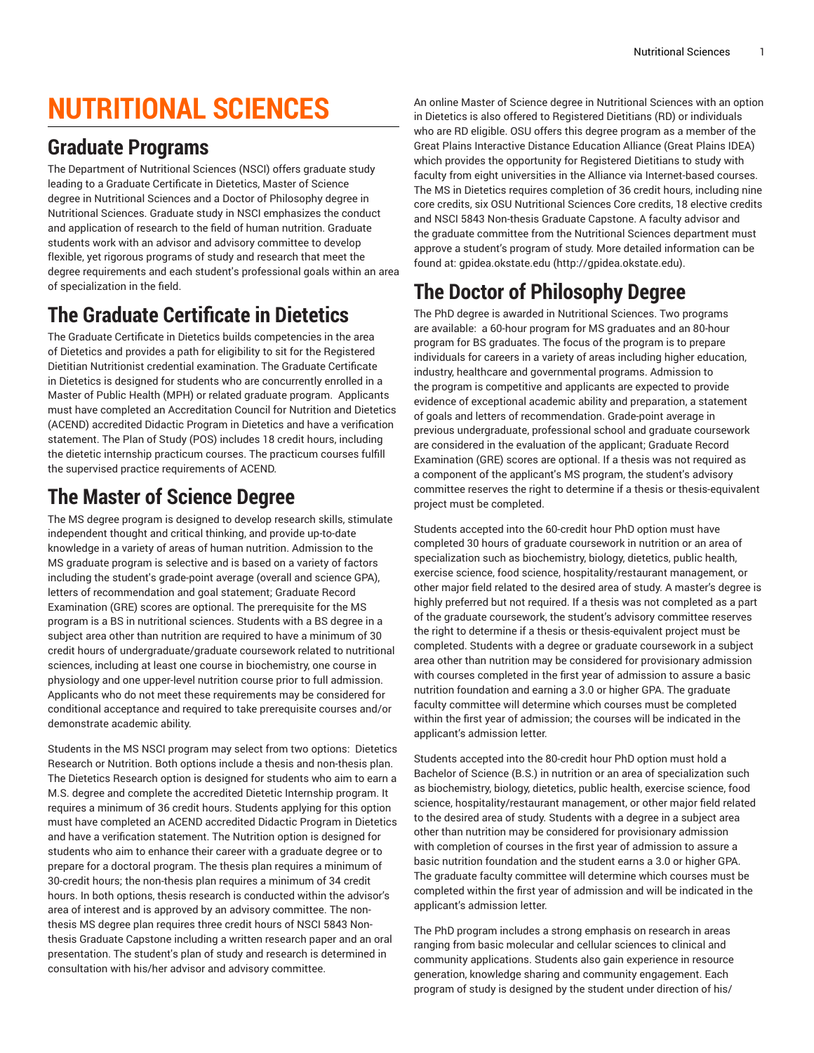# **NUTRITIONAL SCIENCES**

#### **Graduate Programs**

The Department of Nutritional Sciences (NSCI) offers graduate study leading to a Graduate Certificate in Dietetics, Master of Science degree in Nutritional Sciences and a Doctor of Philosophy degree in Nutritional Sciences. Graduate study in NSCI emphasizes the conduct and application of research to the field of human nutrition. Graduate students work with an advisor and advisory committee to develop flexible, yet rigorous programs of study and research that meet the degree requirements and each student's professional goals within an area of specialization in the field.

### **The Graduate Certificate in Dietetics**

The Graduate Certificate in Dietetics builds competencies in the area of Dietetics and provides a path for eligibility to sit for the Registered Dietitian Nutritionist credential examination. The Graduate Certificate in Dietetics is designed for students who are concurrently enrolled in a Master of Public Health (MPH) or related graduate program. Applicants must have completed an Accreditation Council for Nutrition and Dietetics (ACEND) accredited Didactic Program in Dietetics and have a verification statement. The Plan of Study (POS) includes 18 credit hours, including the dietetic internship practicum courses. The practicum courses fulfill the supervised practice requirements of ACEND.

### **The Master of Science Degree**

The MS degree program is designed to develop research skills, stimulate independent thought and critical thinking, and provide up-to-date knowledge in a variety of areas of human nutrition. Admission to the MS graduate program is selective and is based on a variety of factors including the student's grade-point average (overall and science GPA), letters of recommendation and goal statement; Graduate Record Examination (GRE) scores are optional. The prerequisite for the MS program is a BS in nutritional sciences. Students with a BS degree in a subject area other than nutrition are required to have a minimum of 30 credit hours of undergraduate/graduate coursework related to nutritional sciences, including at least one course in biochemistry, one course in physiology and one upper-level nutrition course prior to full admission. Applicants who do not meet these requirements may be considered for conditional acceptance and required to take prerequisite courses and/or demonstrate academic ability.

Students in the MS NSCI program may select from two options: Dietetics Research or Nutrition. Both options include a thesis and non-thesis plan. The Dietetics Research option is designed for students who aim to earn a M.S. degree and complete the accredited Dietetic Internship program. It requires a minimum of 36 credit hours. Students applying for this option must have completed an ACEND accredited Didactic Program in Dietetics and have a verification statement. The Nutrition option is designed for students who aim to enhance their career with a graduate degree or to prepare for a doctoral program. The thesis plan requires a minimum of 30-credit hours; the non-thesis plan requires a minimum of 34 credit hours. In both options, thesis research is conducted within the advisor's area of interest and is approved by an advisory committee. The nonthesis MS degree plan requires three credit hours of NSCI 5843 Nonthesis Graduate Capstone including a written research paper and an oral presentation. The student's plan of study and research is determined in consultation with his/her advisor and advisory committee.

An online Master of Science degree in Nutritional Sciences with an option in Dietetics is also offered to Registered Dietitians (RD) or individuals who are RD eligible. OSU offers this degree program as a member of the Great Plains Interactive Distance Education Alliance (Great Plains IDEA) which provides the opportunity for Registered Dietitians to study with faculty from eight universities in the Alliance via Internet-based courses. The MS in Dietetics requires completion of 36 credit hours, including nine core credits, six OSU Nutritional Sciences Core credits, 18 elective credits and NSCI 5843 Non-thesis Graduate Capstone. A faculty advisor and the graduate committee from the Nutritional Sciences department must approve a student's program of study. More detailed information can be found at: [gpidea.okstate.edu](http://gpidea.okstate.edu) ([http://gpidea.okstate.edu\)](http://gpidea.okstate.edu).

## **The Doctor of Philosophy Degree**

The PhD degree is awarded in Nutritional Sciences. Two programs are available: a 60-hour program for MS graduates and an 80-hour program for BS graduates. The focus of the program is to prepare individuals for careers in a variety of areas including higher education, industry, healthcare and governmental programs. Admission to the program is competitive and applicants are expected to provide evidence of exceptional academic ability and preparation, a statement of goals and letters of recommendation. Grade-point average in previous undergraduate, professional school and graduate coursework are considered in the evaluation of the applicant; Graduate Record Examination (GRE) scores are optional. If a thesis was not required as a component of the applicant's MS program, the student's advisory committee reserves the right to determine if a thesis or thesis-equivalent project must be completed.

Students accepted into the 60-credit hour PhD option must have completed 30 hours of graduate coursework in nutrition or an area of specialization such as biochemistry, biology, dietetics, public health, exercise science, food science, hospitality/restaurant management, or other major field related to the desired area of study. A master's degree is highly preferred but not required. If a thesis was not completed as a part of the graduate coursework, the student's advisory committee reserves the right to determine if a thesis or thesis-equivalent project must be completed. Students with a degree or graduate coursework in a subject area other than nutrition may be considered for provisionary admission with courses completed in the first year of admission to assure a basic nutrition foundation and earning a 3.0 or higher GPA. The graduate faculty committee will determine which courses must be completed within the first year of admission; the courses will be indicated in the applicant's admission letter.

Students accepted into the 80-credit hour PhD option must hold a Bachelor of Science (B.S.) in nutrition or an area of specialization such as biochemistry, biology, dietetics, public health, exercise science, food science, hospitality/restaurant management, or other major field related to the desired area of study. Students with a degree in a subject area other than nutrition may be considered for provisionary admission with completion of courses in the first year of admission to assure a basic nutrition foundation and the student earns a 3.0 or higher GPA. The graduate faculty committee will determine which courses must be completed within the first year of admission and will be indicated in the applicant's admission letter.

The PhD program includes a strong emphasis on research in areas ranging from basic molecular and cellular sciences to clinical and community applications. Students also gain experience in resource generation, knowledge sharing and community engagement. Each program of study is designed by the student under direction of his/